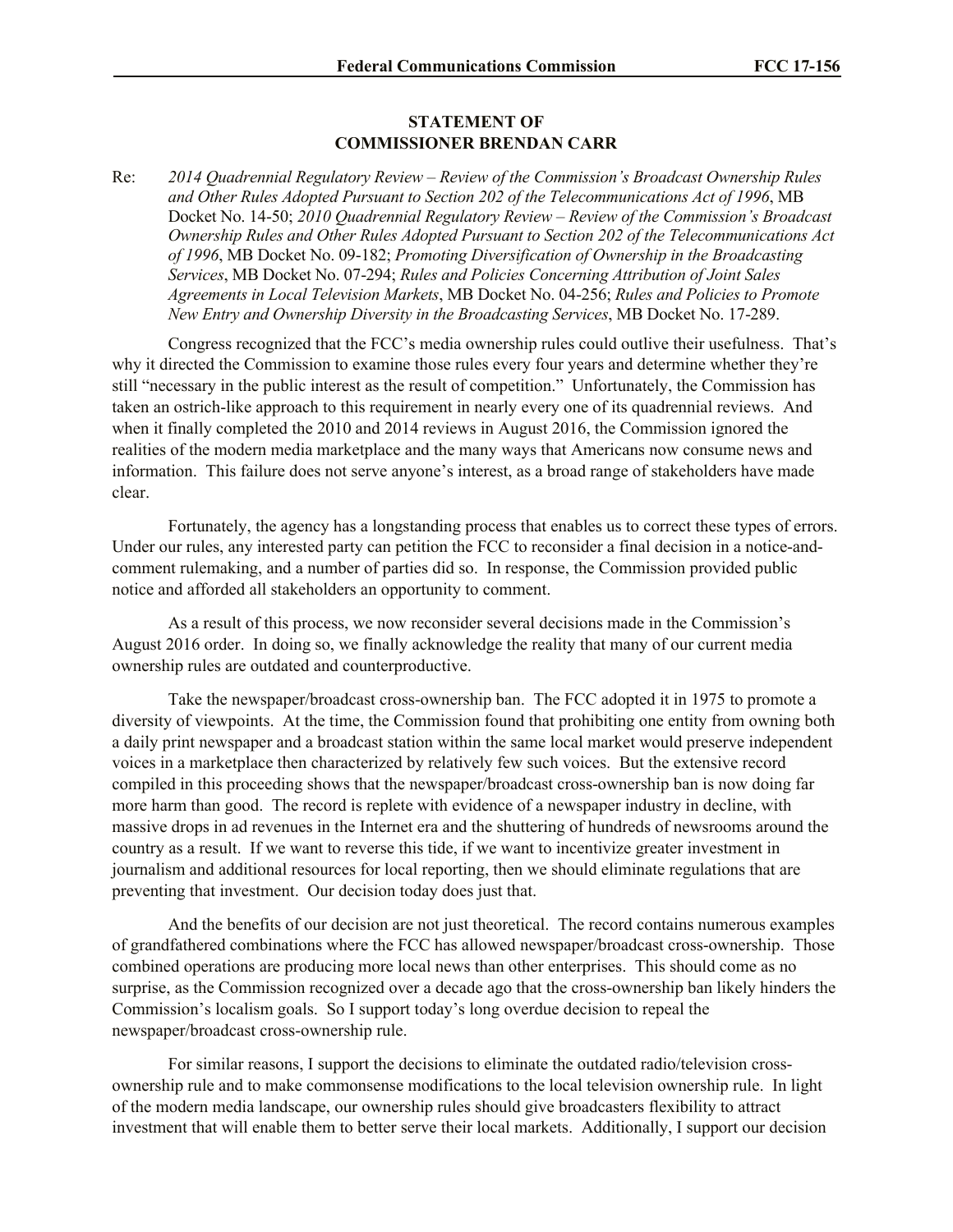## **STATEMENT OF COMMISSIONER BRENDAN CARR**

Re: *2014 Quadrennial Regulatory Review – Review of the Commission's Broadcast Ownership Rules and Other Rules Adopted Pursuant to Section 202 of the Telecommunications Act of 1996*, MB Docket No. 14-50; *2010 Quadrennial Regulatory Review – Review of the Commission's Broadcast Ownership Rules and Other Rules Adopted Pursuant to Section 202 of the Telecommunications Act of 1996*, MB Docket No. 09-182; *Promoting Diversification of Ownership in the Broadcasting Services*, MB Docket No. 07-294; *Rules and Policies Concerning Attribution of Joint Sales Agreements in Local Television Markets*, MB Docket No. 04-256; *Rules and Policies to Promote New Entry and Ownership Diversity in the Broadcasting Services*, MB Docket No. 17-289.

Congress recognized that the FCC's media ownership rules could outlive their usefulness. That's why it directed the Commission to examine those rules every four years and determine whether they're still "necessary in the public interest as the result of competition." Unfortunately, the Commission has taken an ostrich-like approach to this requirement in nearly every one of its quadrennial reviews. And when it finally completed the 2010 and 2014 reviews in August 2016, the Commission ignored the realities of the modern media marketplace and the many ways that Americans now consume news and information. This failure does not serve anyone's interest, as a broad range of stakeholders have made clear.

Fortunately, the agency has a longstanding process that enables us to correct these types of errors. Under our rules, any interested party can petition the FCC to reconsider a final decision in a notice-andcomment rulemaking, and a number of parties did so. In response, the Commission provided public notice and afforded all stakeholders an opportunity to comment.

As a result of this process, we now reconsider several decisions made in the Commission's August 2016 order. In doing so, we finally acknowledge the reality that many of our current media ownership rules are outdated and counterproductive.

Take the newspaper/broadcast cross-ownership ban. The FCC adopted it in 1975 to promote a diversity of viewpoints. At the time, the Commission found that prohibiting one entity from owning both a daily print newspaper and a broadcast station within the same local market would preserve independent voices in a marketplace then characterized by relatively few such voices. But the extensive record compiled in this proceeding shows that the newspaper/broadcast cross-ownership ban is now doing far more harm than good. The record is replete with evidence of a newspaper industry in decline, with massive drops in ad revenues in the Internet era and the shuttering of hundreds of newsrooms around the country as a result. If we want to reverse this tide, if we want to incentivize greater investment in journalism and additional resources for local reporting, then we should eliminate regulations that are preventing that investment. Our decision today does just that.

And the benefits of our decision are not just theoretical. The record contains numerous examples of grandfathered combinations where the FCC has allowed newspaper/broadcast cross-ownership. Those combined operations are producing more local news than other enterprises. This should come as no surprise, as the Commission recognized over a decade ago that the cross-ownership ban likely hinders the Commission's localism goals. So I support today's long overdue decision to repeal the newspaper/broadcast cross-ownership rule.

For similar reasons, I support the decisions to eliminate the outdated radio/television crossownership rule and to make commonsense modifications to the local television ownership rule. In light of the modern media landscape, our ownership rules should give broadcasters flexibility to attract investment that will enable them to better serve their local markets. Additionally, I support our decision